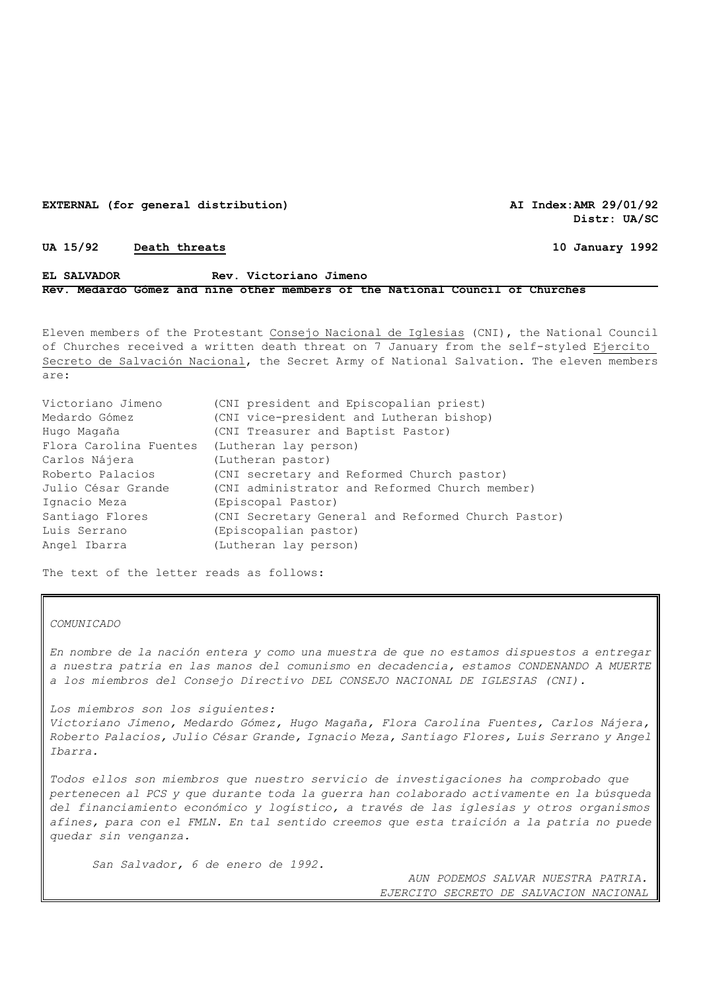#### **EXTERNAL (for general distribution) AI Index:AMR 29/01/92**

**Distr: UA/SC** 

### **UA 15/92 Death threats 10 January 1992**

# **EL SALVADOR Rev. Victoriano Jimeno Rev. Medardo Gómez and nine other members of the National Council of Churches**

Eleven members of the Protestant Consejo Nacional de Iglesias (CNI), the National Council of Churches received a written death threat on 7 January from the self-styled Ejercito Secreto de Salvación Nacional, the Secret Army of National Salvation. The eleven members are:

| Victoriano Jimeno      | (CNI president and Episcopalian priest)            |
|------------------------|----------------------------------------------------|
| Medardo Gómez          | (CNI vice-president and Lutheran bishop)           |
| Hugo Magaña            | (CNI Treasurer and Baptist Pastor)                 |
| Flora Carolina Fuentes | (Lutheran lay person)                              |
| Carlos Nájera          | (Lutheran pastor)                                  |
| Roberto Palacios       | (CNI secretary and Reformed Church pastor)         |
| Julio César Grande     | (CNI administrator and Reformed Church member)     |
| Ignacio Meza           | (Episcopal Pastor)                                 |
| Santiago Flores        | (CNI Secretary General and Reformed Church Pastor) |
| Luis Serrano           | (Episcopalian pastor)                              |
| Angel Ibarra           | (Lutheran lay person)                              |
|                        |                                                    |

The text of the letter reads as follows:

## *COMUNICADO*

*En nombre de la nación entera y como una muestra de que no estamos dispuestos a entregar a nuestra patria en las manos del comunismo en decadencia, estamos CONDENANDO A MUERTE a los miembros del Consejo Directivo DEL CONSEJO NACIONAL DE IGLESIAS (CNI).*

*Los miembros son los siguientes: Victoriano Jimeno, Medardo Gómez, Hugo Magaña, Flora Carolina Fuentes, Carlos Nájera, Roberto Palacios, Julio César Grande, Ignacio Meza, Santiago Flores, Luis Serrano y Angel Ibarra.*

*Todos ellos son miembros que nuestro servicio de investigaciones ha comprobado que pertenecen al PCS y que durante toda la guerra han colaborado activamente en la búsqueda del financiamiento económico y logístico, a través de las iglesias y otros organismos afines, para con el FMLN. En tal sentido creemos que esta traición a la patria no puede quedar sin venganza.*

*San Salvador, 6 de enero de 1992.* 

*AUN PODEMOS SALVAR NUESTRA PATRIA. EJERCITO SECRETO DE SALVACION NACIONAL*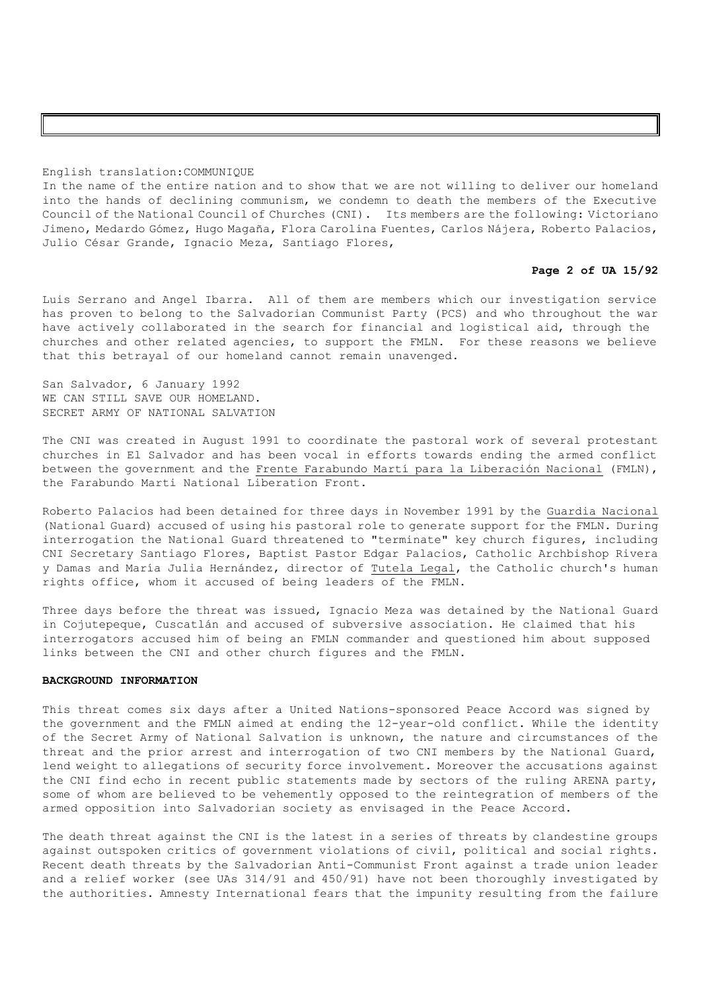#### English translation:COMMUNIQUE

In the name of the entire nation and to show that we are not willing to deliver our homeland into the hands of declining communism, we condemn to death the members of the Executive Council of the National Council of Churches (CNI). Its members are the following: Victoriano Jimeno, Medardo Gómez, Hugo Magaña, Flora Carolina Fuentes, Carlos Nájera, Roberto Palacios, Julio César Grande, Ignacio Meza, Santiago Flores,

## **Page 2 of UA 15/92**

Luis Serrano and Angel Ibarra. All of them are members which our investigation service has proven to belong to the Salvadorian Communist Party (PCS) and who throughout the war have actively collaborated in the search for financial and logistical aid, through the churches and other related agencies, to support the FMLN. For these reasons we believe that this betrayal of our homeland cannot remain unavenged.

San Salvador, 6 January 1992 WE CAN STILL SAVE OUR HOMELAND. SECRET ARMY OF NATIONAL SALVATION

The CNI was created in August 1991 to coordinate the pastoral work of several protestant churches in El Salvador and has been vocal in efforts towards ending the armed conflict between the government and the Frente Farabundo Martí para la Liberación Nacional (FMLN), the Farabundo Marti National Liberation Front.

Roberto Palacios had been detained for three days in November 1991 by the Guardia Nacional (National Guard) accused of using his pastoral role to generate support for the FMLN. During interrogation the National Guard threatened to "terminate" key church figures, including CNI Secretary Santiago Flores, Baptist Pastor Edgar Palacios, Catholic Archbishop Rivera y Damas and María Julia Hernández, director of Tutela Legal, the Catholic church's human rights office, whom it accused of being leaders of the FMLN.

Three days before the threat was issued, Ignacio Meza was detained by the National Guard in Cojutepeque, Cuscatlán and accused of subversive association. He claimed that his interrogators accused him of being an FMLN commander and questioned him about supposed links between the CNI and other church figures and the FMLN.

### **BACKGROUND INFORMATION**

This threat comes six days after a United Nations-sponsored Peace Accord was signed by the government and the FMLN aimed at ending the 12-year-old conflict. While the identity of the Secret Army of National Salvation is unknown, the nature and circumstances of the threat and the prior arrest and interrogation of two CNI members by the National Guard, lend weight to allegations of security force involvement. Moreover the accusations against the CNI find echo in recent public statements made by sectors of the ruling ARENA party, some of whom are believed to be vehemently opposed to the reintegration of members of the armed opposition into Salvadorian society as envisaged in the Peace Accord.

The death threat against the CNI is the latest in a series of threats by clandestine groups against outspoken critics of government violations of civil, political and social rights. Recent death threats by the Salvadorian Anti-Communist Front against a trade union leader and a relief worker (see UAs 314/91 and 450/91) have not been thoroughly investigated by the authorities. Amnesty International fears that the impunity resulting from the failure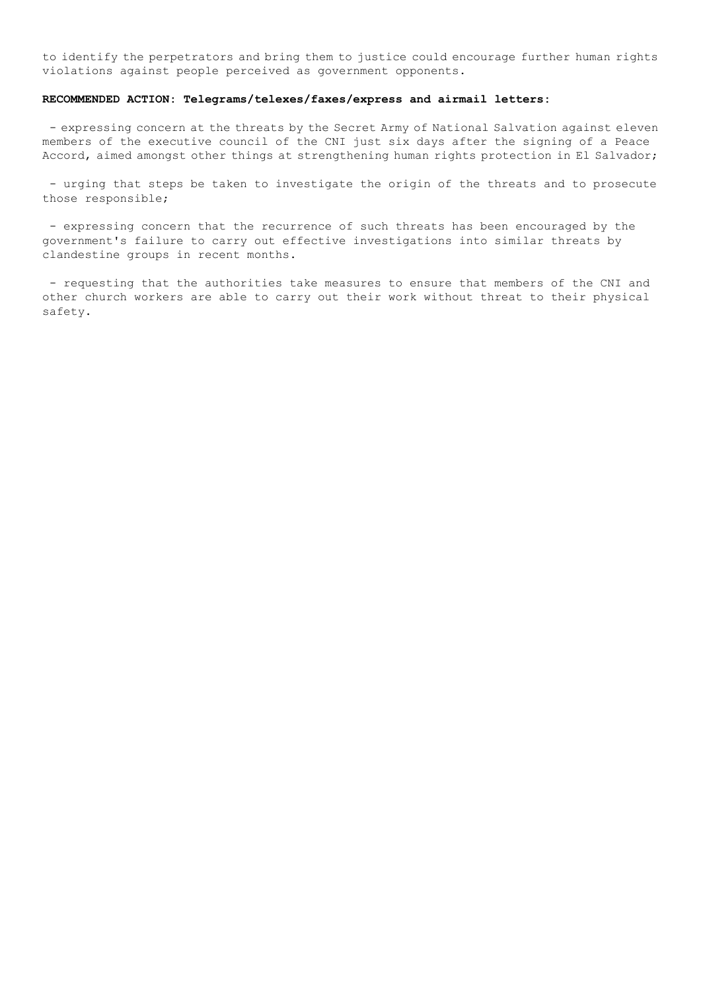to identify the perpetrators and bring them to justice could encourage further human rights violations against people perceived as government opponents.

### **RECOMMENDED ACTION: Telegrams/telexes/faxes/express and airmail letters:**

- expressing concern at the threats by the Secret Army of National Salvation against eleven members of the executive council of the CNI just six days after the signing of a Peace Accord, aimed amongst other things at strengthening human rights protection in El Salvador;

- urging that steps be taken to investigate the origin of the threats and to prosecute those responsible;

- expressing concern that the recurrence of such threats has been encouraged by the government's failure to carry out effective investigations into similar threats by clandestine groups in recent months.

- requesting that the authorities take measures to ensure that members of the CNI and other church workers are able to carry out their work without threat to their physical safety.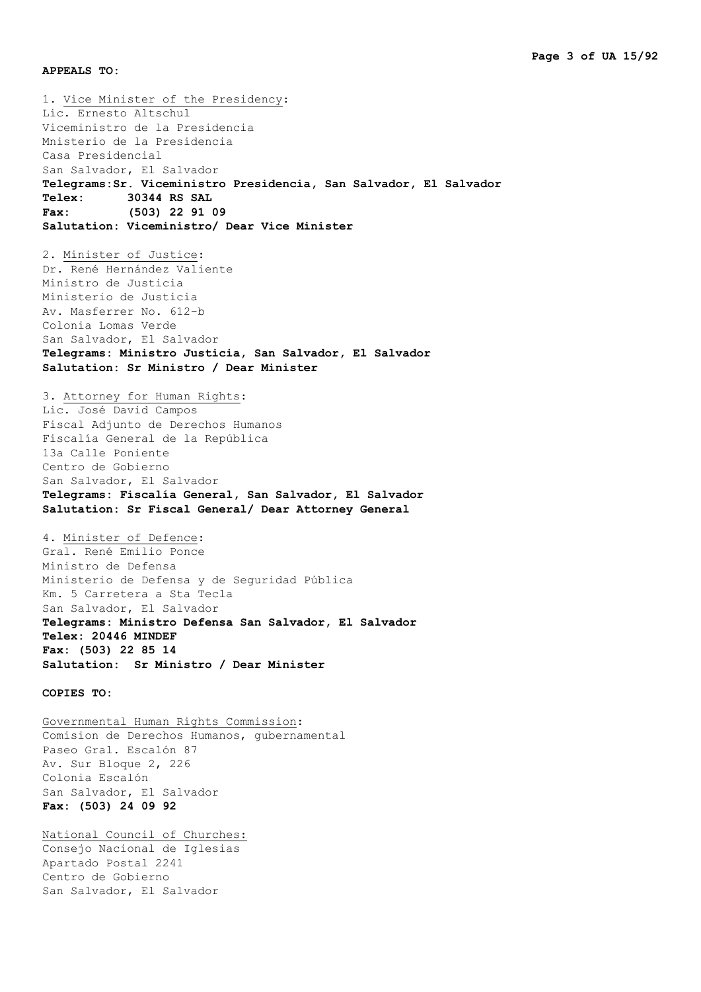**APPEALS TO:**

1. Vice Minister of the Presidency: Lic. Ernesto Altschul Viceministro de la Presidencia Mnisterio de la Presidencia Casa Presidencial San Salvador, El Salvador **Telegrams:Sr. Viceministro Presidencia, San Salvador, El Salvador Telex: 30344 RS SAL Fax: (503) 22 91 09 Salutation: Viceministro/ Dear Vice Minister** 2. Minister of Justice: Dr. René Hernández Valiente Ministro de Justicia Ministerio de Justicia Av. Masferrer No. 612-b Colonia Lomas Verde San Salvador, El Salvador **Telegrams: Ministro Justicia, San Salvador, El Salvador Salutation: Sr Ministro / Dear Minister** 3. Attorney for Human Rights: Lic. José David Campos Fiscal Adjunto de Derechos Humanos Fiscalía General de la República 13a Calle Poniente Centro de Gobierno San Salvador, El Salvador **Telegrams: Fiscalía General, San Salvador, El Salvador Salutation: Sr Fiscal General/ Dear Attorney General** 4. Minister of Defence: Gral. René Emilio Ponce Ministro de Defensa Ministerio de Defensa y de Seguridad Pública Km. 5 Carretera a Sta Tecla San Salvador, El Salvador **Telegrams: Ministro Defensa San Salvador, El Salvador Telex: 20446 MINDEF Fax: (503) 22 85 14 Salutation: Sr Ministro / Dear Minister COPIES TO:** Governmental Human Rights Commission: Comision de Derechos Humanos, gubernamental Paseo Gral. Escalón 87 Av. Sur Bloque 2, 226 Colonia Escalón San Salvador, El Salvador **Fax: (503) 24 09 92** National Council of Churches: Consejo Nacional de Iglesias

Apartado Postal 2241 Centro de Gobierno San Salvador, El Salvador